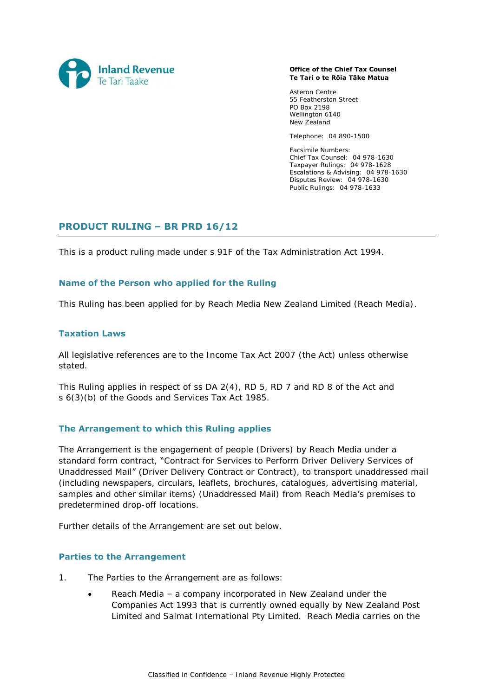

#### **Office of the Chief Tax Counsel Te Tari o te Rōia Tāke Matua**

Asteron Centre 55 Featherston Street PO Box 2198 Wellington 6140 New Zealand

Telephone: 04 890-1500

Facsimile Numbers: Chief Tax Counsel: 04 978-1630 Taxpayer Rulings: 04 978-1628 Escalations & Advising: 04 978-1630 Disputes Review: 04 978-1630 Public Rulings: 04 978-1633

# **PRODUCT RULING – BR PRD 16/12**

This is a product ruling made under s 91F of the Tax Administration Act 1994.

### **Name of the Person who applied for the Ruling**

This Ruling has been applied for by Reach Media New Zealand Limited (Reach Media).

### **Taxation Laws**

All legislative references are to the Income Tax Act 2007 (the Act) unless otherwise stated.

This Ruling applies in respect of ss DA 2(4), RD 5, RD 7 and RD 8 of the Act and s 6(3)(b) of the Goods and Services Tax Act 1985.

### **The Arrangement to which this Ruling applies**

The Arrangement is the engagement of people (Drivers) by Reach Media under a standard form contract, "Contract for Services to Perform Driver Delivery Services of Unaddressed Mail" (Driver Delivery Contract or Contract), to transport unaddressed mail (including newspapers, circulars, leaflets, brochures, catalogues, advertising material, samples and other similar items) (Unaddressed Mail) from Reach Media's premises to predetermined drop-off locations.

Further details of the Arrangement are set out below.

### **Parties to the Arrangement**

- 1. The Parties to the Arrangement are as follows:
	- Reach Media a company incorporated in New Zealand under the Companies Act 1993 that is currently owned equally by New Zealand Post Limited and Salmat International Pty Limited. Reach Media carries on the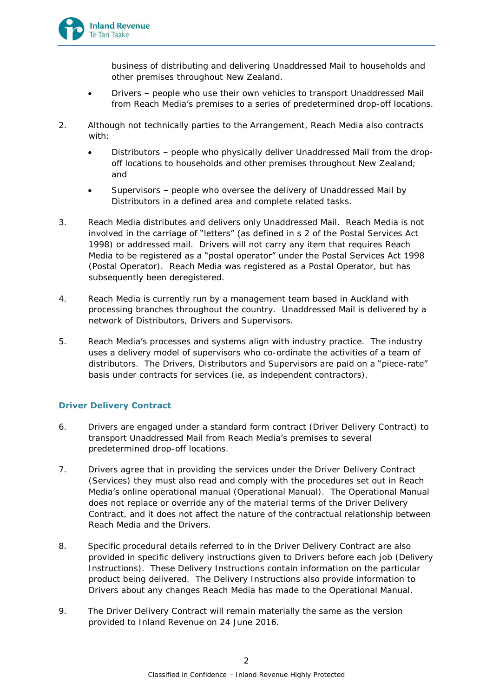

business of distributing and delivering Unaddressed Mail to households and other premises throughout New Zealand.

- Drivers people who use their own vehicles to transport Unaddressed Mail from Reach Media's premises to a series of predetermined drop-off locations.
- 2. Although not technically parties to the Arrangement, Reach Media also contracts with:
	- Distributors people who physically deliver Unaddressed Mail from the dropoff locations to households and other premises throughout New Zealand; and
	- Supervisors people who oversee the delivery of Unaddressed Mail by Distributors in a defined area and complete related tasks.
- 3. Reach Media distributes and delivers only Unaddressed Mail. Reach Media is not involved in the carriage of "letters" (as defined in s 2 of the Postal Services Act 1998) or addressed mail. Drivers will not carry any item that requires Reach Media to be registered as a "postal operator" under the Postal Services Act 1998 (Postal Operator). Reach Media was registered as a Postal Operator, but has subsequently been deregistered.
- 4. Reach Media is currently run by a management team based in Auckland with processing branches throughout the country. Unaddressed Mail is delivered by a network of Distributors, Drivers and Supervisors.
- 5. Reach Media's processes and systems align with industry practice. The industry uses a delivery model of supervisors who co-ordinate the activities of a team of distributors. The Drivers, Distributors and Supervisors are paid on a "piece-rate" basis under contracts for services (ie, as independent contractors).

## **Driver Delivery Contract**

- 6. Drivers are engaged under a standard form contract (Driver Delivery Contract) to transport Unaddressed Mail from Reach Media's premises to several predetermined drop-off locations.
- 7. Drivers agree that in providing the services under the Driver Delivery Contract (Services) they must also read and comply with the procedures set out in Reach Media's online operational manual (Operational Manual). The Operational Manual does not replace or override any of the material terms of the Driver Delivery Contract, and it does not affect the nature of the contractual relationship between Reach Media and the Drivers.
- 8. Specific procedural details referred to in the Driver Delivery Contract are also provided in specific delivery instructions given to Drivers before each job (Delivery Instructions). These Delivery Instructions contain information on the particular product being delivered. The Delivery Instructions also provide information to Drivers about any changes Reach Media has made to the Operational Manual.
- 9. The Driver Delivery Contract will remain materially the same as the version provided to Inland Revenue on 24 June 2016.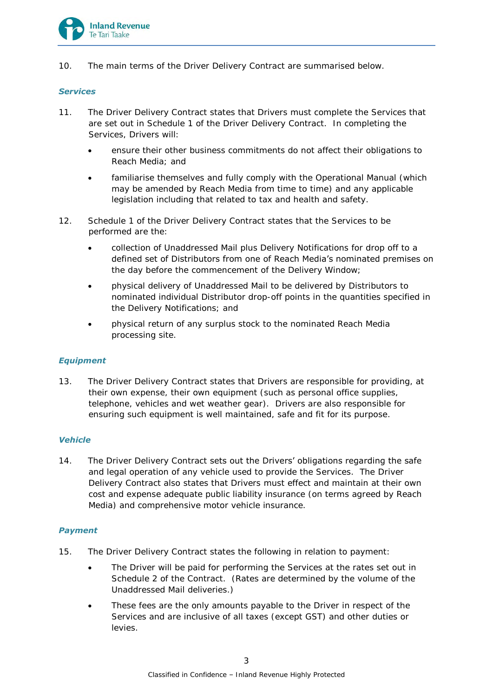

10. The main terms of the Driver Delivery Contract are summarised below.

#### *Services*

- 11. The Driver Delivery Contract states that Drivers must complete the Services that are set out in Schedule 1 of the Driver Delivery Contract. In completing the Services, Drivers will:
	- ensure their other business commitments do not affect their obligations to Reach Media; and
	- familiarise themselves and fully comply with the Operational Manual (which may be amended by Reach Media from time to time) and any applicable legislation including that related to tax and health and safety.
- 12. Schedule 1 of the Driver Delivery Contract states that the Services to be performed are the:
	- collection of Unaddressed Mail plus Delivery Notifications for drop off to a defined set of Distributors from one of Reach Media's nominated premises on the day before the commencement of the Delivery Window;
	- physical delivery of Unaddressed Mail to be delivered by Distributors to nominated individual Distributor drop-off points in the quantities specified in the Delivery Notifications; and
	- physical return of any surplus stock to the nominated Reach Media processing site.

### *Equipment*

13. The Driver Delivery Contract states that Drivers are responsible for providing, at their own expense, their own equipment (such as personal office supplies, telephone, vehicles and wet weather gear). Drivers are also responsible for ensuring such equipment is well maintained, safe and fit for its purpose.

## *Vehicle*

14. The Driver Delivery Contract sets out the Drivers' obligations regarding the safe and legal operation of any vehicle used to provide the Services. The Driver Delivery Contract also states that Drivers must effect and maintain at their own cost and expense adequate public liability insurance (on terms agreed by Reach Media) and comprehensive motor vehicle insurance.

## *Payment*

- 15. The Driver Delivery Contract states the following in relation to payment:
	- The Driver will be paid for performing the Services at the rates set out in Schedule 2 of the Contract. (Rates are determined by the volume of the Unaddressed Mail deliveries.)
	- These fees are the only amounts payable to the Driver in respect of the Services and are inclusive of all taxes (except GST) and other duties or levies.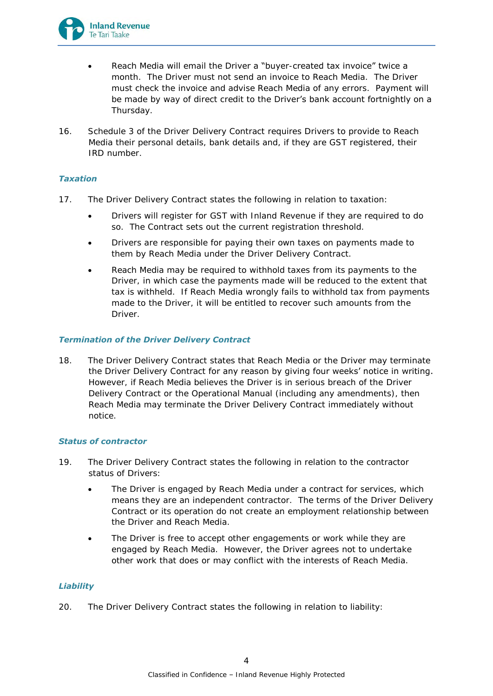

- Reach Media will email the Driver a "buyer-created tax invoice" twice a month. The Driver must not send an invoice to Reach Media. The Driver must check the invoice and advise Reach Media of any errors. Payment will be made by way of direct credit to the Driver's bank account fortnightly on a Thursday.
- 16. Schedule 3 of the Driver Delivery Contract requires Drivers to provide to Reach Media their personal details, bank details and, if they are GST registered, their IRD number.

### *Taxation*

- 17. The Driver Delivery Contract states the following in relation to taxation:
	- Drivers will register for GST with Inland Revenue if they are required to do so. The Contract sets out the current registration threshold.
	- Drivers are responsible for paying their own taxes on payments made to them by Reach Media under the Driver Delivery Contract.
	- Reach Media may be required to withhold taxes from its payments to the Driver, in which case the payments made will be reduced to the extent that tax is withheld. If Reach Media wrongly fails to withhold tax from payments made to the Driver, it will be entitled to recover such amounts from the Driver.

### *Termination of the Driver Delivery Contract*

18. The Driver Delivery Contract states that Reach Media or the Driver may terminate the Driver Delivery Contract for any reason by giving four weeks' notice in writing. However, if Reach Media believes the Driver is in serious breach of the Driver Delivery Contract or the Operational Manual (including any amendments), then Reach Media may terminate the Driver Delivery Contract immediately without notice.

### *Status of contractor*

- 19. The Driver Delivery Contract states the following in relation to the contractor status of Drivers:
	- The Driver is engaged by Reach Media under a contract for services, which means they are an independent contractor. The terms of the Driver Delivery Contract or its operation do not create an employment relationship between the Driver and Reach Media.
	- The Driver is free to accept other engagements or work while they are engaged by Reach Media. However, the Driver agrees not to undertake other work that does or may conflict with the interests of Reach Media.

### *Liability*

20. The Driver Delivery Contract states the following in relation to liability: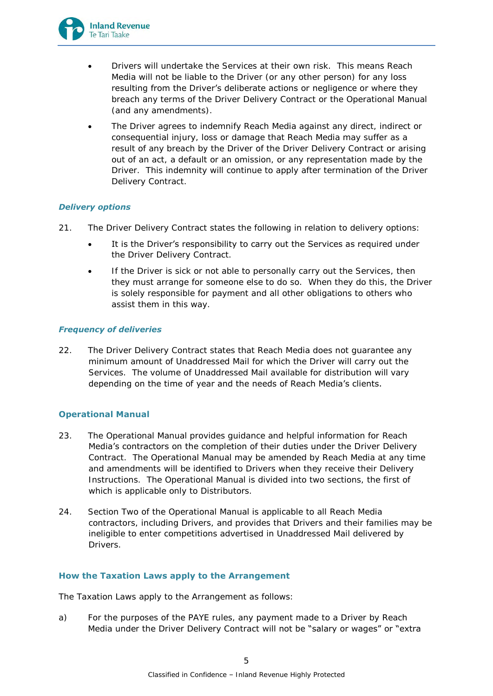

- Drivers will undertake the Services at their own risk. This means Reach Media will not be liable to the Driver (or any other person) for any loss resulting from the Driver's deliberate actions or negligence or where they breach any terms of the Driver Delivery Contract or the Operational Manual (and any amendments).
- The Driver agrees to indemnify Reach Media against any direct, indirect or consequential injury, loss or damage that Reach Media may suffer as a result of any breach by the Driver of the Driver Delivery Contract or arising out of an act, a default or an omission, or any representation made by the Driver. This indemnity will continue to apply after termination of the Driver Delivery Contract.

### *Delivery options*

- 21. The Driver Delivery Contract states the following in relation to delivery options:
	- It is the Driver's responsibility to carry out the Services as required under the Driver Delivery Contract.
	- If the Driver is sick or not able to personally carry out the Services, then they must arrange for someone else to do so. When they do this, the Driver is solely responsible for payment and all other obligations to others who assist them in this way.

### *Frequency of deliveries*

22. The Driver Delivery Contract states that Reach Media does not guarantee any minimum amount of Unaddressed Mail for which the Driver will carry out the Services. The volume of Unaddressed Mail available for distribution will vary depending on the time of year and the needs of Reach Media's clients.

## **Operational Manual**

- 23. The Operational Manual provides guidance and helpful information for Reach Media's contractors on the completion of their duties under the Driver Delivery Contract. The Operational Manual may be amended by Reach Media at any time and amendments will be identified to Drivers when they receive their Delivery Instructions. The Operational Manual is divided into two sections, the first of which is applicable only to Distributors.
- 24. Section Two of the Operational Manual is applicable to all Reach Media contractors, including Drivers, and provides that Drivers and their families may be ineligible to enter competitions advertised in Unaddressed Mail delivered by Drivers.

## **How the Taxation Laws apply to the Arrangement**

The Taxation Laws apply to the Arrangement as follows:

a) For the purposes of the PAYE rules, any payment made to a Driver by Reach Media under the Driver Delivery Contract will not be "salary or wages" or "extra